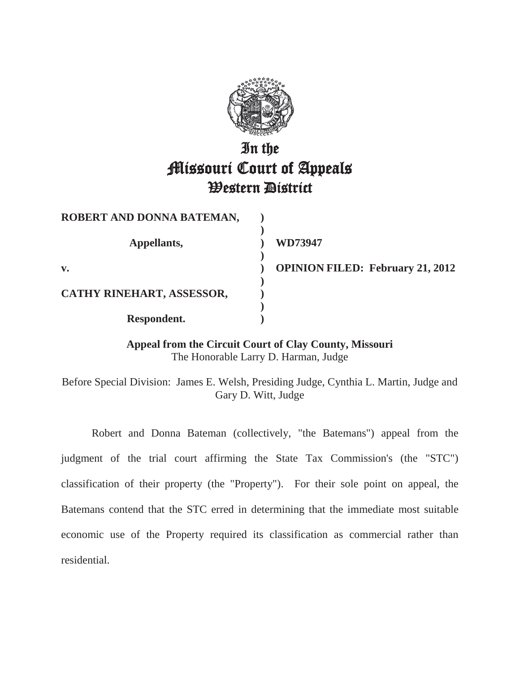

# In the Missouri Court of Appeals Western District

| ROBERT AND DONNA BATEMAN, |                                    |
|---------------------------|------------------------------------|
| Appellants,               | WD73947                            |
| $\mathbf{v}$ .            | <b>OPINION FILED: February 21,</b> |
| CATHY RINEHART, ASSESSOR, |                                    |
| Respondent.               |                                    |

**2012** 

**Appeal from the Circuit Court of Clay County, Missouri**  The Honorable Larry D. Harman, Judge

Before Special Division: James E. Welsh, Presiding Judge, Cynthia L. Martin, Judge and Gary D. Witt, Judge

 Robert and Donna Bateman (collectively, "the Batemans") appeal from the judgment of the trial court affirming the State Tax Commission's (the "STC") classification of their property (the "Property"). For their sole point on appeal, the Batemans contend that the STC erred in determining that the immediate most suitable economic use of the Property required its classification as commercial rather than residential.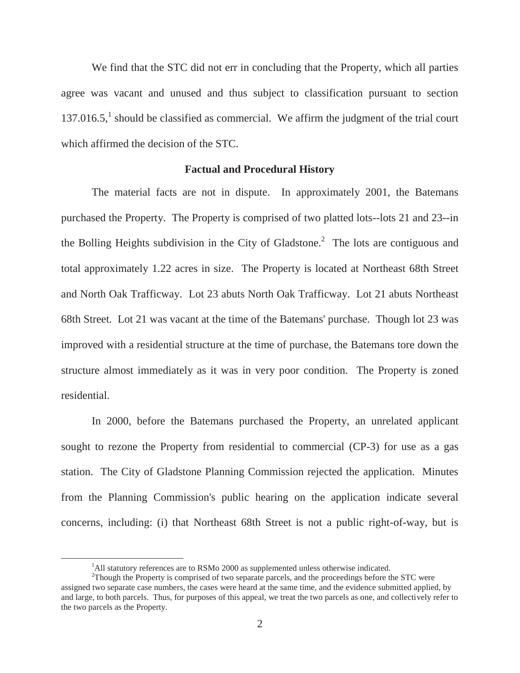We find that the STC did not err in concluding that the Property, which all parties agree was vacant and unused and thus subject to classification pursuant to section  $137.016.5$ ,<sup>1</sup> should be classified as commercial. We affirm the judgment of the trial court which affirmed the decision of the STC.

#### **Factual and Procedural History**

 The material facts are not in dispute. In approximately 2001, the Batemans purchased the Property. The Property is comprised of two platted lots--lots 21 and 23--in the Bolling Heights subdivision in the City of Gladstone.<sup>2</sup> The lots are contiguous and total approximately 1.22 acres in size. The Property is located at Northeast 68th Street and North Oak Trafficway. Lot 23 abuts North Oak Trafficway. Lot 21 abuts Northeast 68th Street. Lot 21 was vacant at the time of the Batemans' purchase. Though lot 23 was improved with a residential structure at the time of purchase, the Batemans tore down the structure almost immediately as it was in very poor condition. The Property is zoned residential.

In 2000, before the Batemans purchased the Property, an unrelated applicant sought to rezone the Property from residential to commercial (CP-3) for use as a gas station. The City of Gladstone Planning Commission rejected the application. Minutes from the Planning Commission's public hearing on the application indicate several concerns, including: (i) that Northeast 68th Street is not a public right-of-way, but is

 $\frac{1}{1}$ <sup>1</sup>All statutory references are to RSMo 2000 as supplemented unless otherwise indicated.

<sup>&</sup>lt;sup>2</sup>Though the Property is comprised of two separate parcels, and the proceedings before the STC were assigned two separate case numbers, the cases were heard at the same time, and the evidence submitted applied, by and large, to both parcels. Thus, for purposes of this appeal, we treat the two parcels as one, and collectively refer to the two parcels as the Property.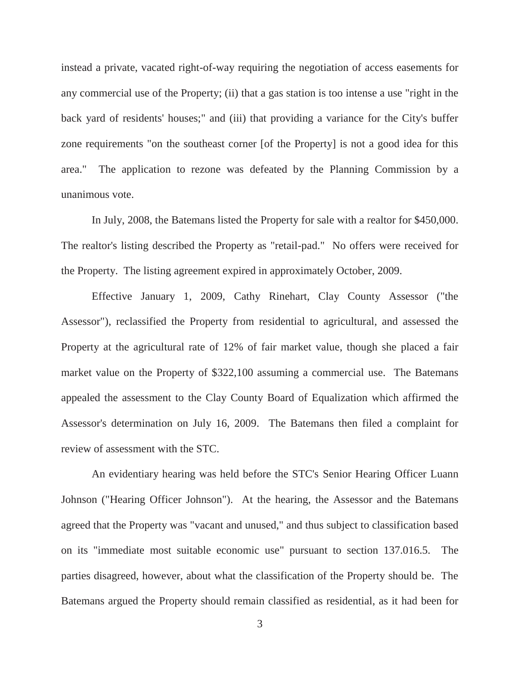instead a private, vacated right-of-way requiring the negotiation of access easements for any commercial use of the Property; (ii) that a gas station is too intense a use "right in the back yard of residents' houses;" and (iii) that providing a variance for the City's buffer zone requirements "on the southeast corner [of the Property] is not a good idea for this area." The application to rezone was defeated by the Planning Commission by a unanimous vote.

In July, 2008, the Batemans listed the Property for sale with a realtor for \$450,000. The realtor's listing described the Property as "retail-pad." No offers were received for the Property. The listing agreement expired in approximately October, 2009.

 Effective January 1, 2009, Cathy Rinehart, Clay County Assessor ("the Assessor"), reclassified the Property from residential to agricultural, and assessed the Property at the agricultural rate of 12% of fair market value, though she placed a fair market value on the Property of \$322,100 assuming a commercial use. The Batemans appealed the assessment to the Clay County Board of Equalization which affirmed the Assessor's determination on July 16, 2009. The Batemans then filed a complaint for review of assessment with the STC.

 An evidentiary hearing was held before the STC's Senior Hearing Officer Luann Johnson ("Hearing Officer Johnson"). At the hearing, the Assessor and the Batemans agreed that the Property was "vacant and unused," and thus subject to classification based on its "immediate most suitable economic use" pursuant to section 137.016.5. The parties disagreed, however, about what the classification of the Property should be. The Batemans argued the Property should remain classified as residential, as it had been for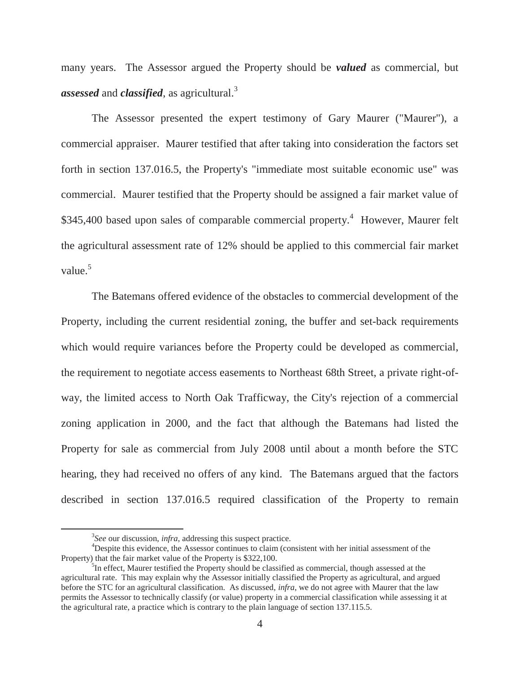many years. The Assessor argued the Property should be *valued* as commercial, but *assessed* and *classified*, as agricultural.<sup>3</sup>

The Assessor presented the expert testimony of Gary Maurer ("Maurer"), a commercial appraiser. Maurer testified that after taking into consideration the factors set forth in section 137.016.5, the Property's "immediate most suitable economic use" was commercial. Maurer testified that the Property should be assigned a fair market value of \$345,400 based upon sales of comparable commercial property.<sup>4</sup> However, Maurer felt the agricultural assessment rate of 12% should be applied to this commercial fair market value. $5$ 

The Batemans offered evidence of the obstacles to commercial development of the Property, including the current residential zoning, the buffer and set-back requirements which would require variances before the Property could be developed as commercial, the requirement to negotiate access easements to Northeast 68th Street, a private right-ofway, the limited access to North Oak Trafficway, the City's rejection of a commercial zoning application in 2000, and the fact that although the Batemans had listed the Property for sale as commercial from July 2008 until about a month before the STC hearing, they had received no offers of any kind. The Batemans argued that the factors described in section 137.016.5 required classification of the Property to remain

 $\frac{1}{3}$ *See* our discussion, *infra*, addressing this suspect practice. 4

Despite this evidence, the Assessor continues to claim (consistent with her initial assessment of the Property) that the fair market value of the Property is \$322,100.

 ${}^{5}$ In effect, Maurer testified the Property should be classified as commercial, though assessed at the agricultural rate. This may explain why the Assessor initially classified the Property as agricultural, and argued before the STC for an agricultural classification. As discussed, *infra*, we do not agree with Maurer that the law permits the Assessor to technically classify (or value) property in a commercial classification while assessing it at the agricultural rate, a practice which is contrary to the plain language of section 137.115.5.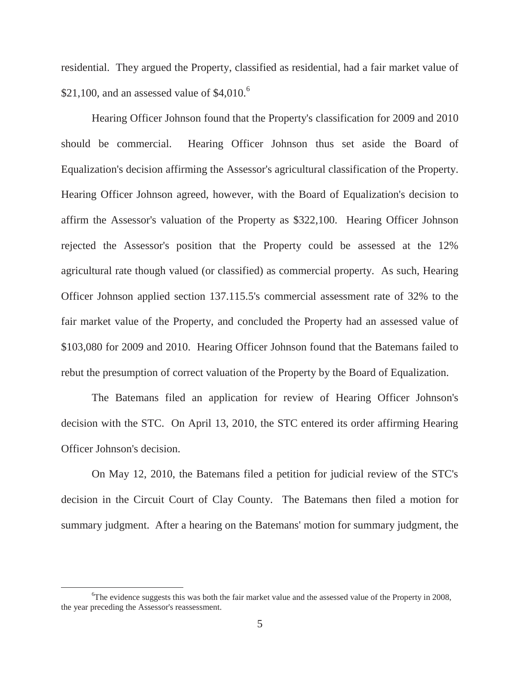residential. They argued the Property, classified as residential, had a fair market value of \$21,100, and an assessed value of  $$4,010$ .<sup>6</sup>

 Hearing Officer Johnson found that the Property's classification for 2009 and 2010 should be commercial. Hearing Officer Johnson thus set aside the Board of Equalization's decision affirming the Assessor's agricultural classification of the Property. Hearing Officer Johnson agreed, however, with the Board of Equalization's decision to affirm the Assessor's valuation of the Property as \$322,100. Hearing Officer Johnson rejected the Assessor's position that the Property could be assessed at the 12% agricultural rate though valued (or classified) as commercial property. As such, Hearing Officer Johnson applied section 137.115.5's commercial assessment rate of 32% to the fair market value of the Property, and concluded the Property had an assessed value of \$103,080 for 2009 and 2010. Hearing Officer Johnson found that the Batemans failed to rebut the presumption of correct valuation of the Property by the Board of Equalization.

 The Batemans filed an application for review of Hearing Officer Johnson's decision with the STC. On April 13, 2010, the STC entered its order affirming Hearing Officer Johnson's decision.

On May 12, 2010, the Batemans filed a petition for judicial review of the STC's decision in the Circuit Court of Clay County. The Batemans then filed a motion for summary judgment. After a hearing on the Batemans' motion for summary judgment, the

<sup>6</sup> <sup>6</sup>The evidence suggests this was both the fair market value and the assessed value of the Property in 2008, the year preceding the Assessor's reassessment.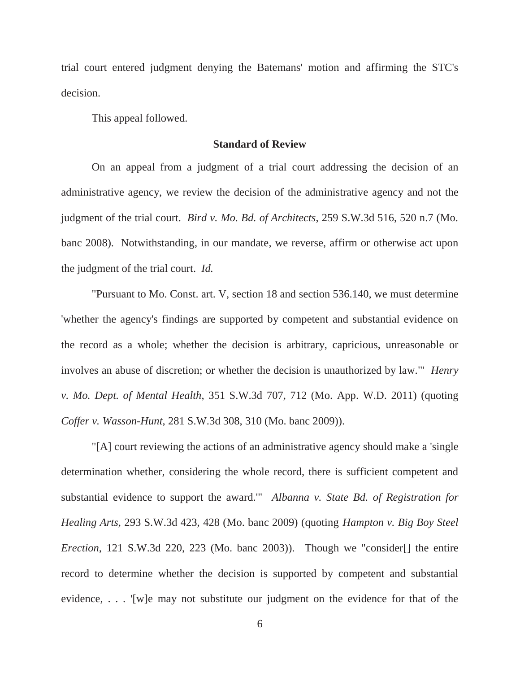trial court entered judgment denying the Batemans' motion and affirming the STC's decision.

This appeal followed.

## **Standard of Review**

 On an appeal from a judgment of a trial court addressing the decision of an administrative agency, we review the decision of the administrative agency and not the judgment of the trial court. *Bird v. Mo. Bd. of Architects*, 259 S.W.3d 516, 520 n.7 (Mo. banc 2008). Notwithstanding, in our mandate, we reverse, affirm or otherwise act upon the judgment of the trial court. *Id.*

 "Pursuant to Mo. Const. art. V, section 18 and section 536.140, we must determine 'whether the agency's findings are supported by competent and substantial evidence on the record as a whole; whether the decision is arbitrary, capricious, unreasonable or involves an abuse of discretion; or whether the decision is unauthorized by law.'" *Henry v. Mo. Dept. of Mental Health*, 351 S.W.3d 707, 712 (Mo. App. W.D. 2011) (quoting *Coffer v. Wasson-Hunt*, 281 S.W.3d 308, 310 (Mo. banc 2009)).

 "[A] court reviewing the actions of an administrative agency should make a 'single determination whether, considering the whole record, there is sufficient competent and substantial evidence to support the award.'" *Albanna v. State Bd. of Registration for Healing Arts,* 293 S.W.3d 423, 428 (Mo. banc 2009) (quoting *Hampton v. Big Boy Steel Erection*, 121 S.W.3d 220, 223 (Mo. banc 2003)). Though we "consider[] the entire record to determine whether the decision is supported by competent and substantial evidence, . . . '[w]e may not substitute our judgment on the evidence for that of the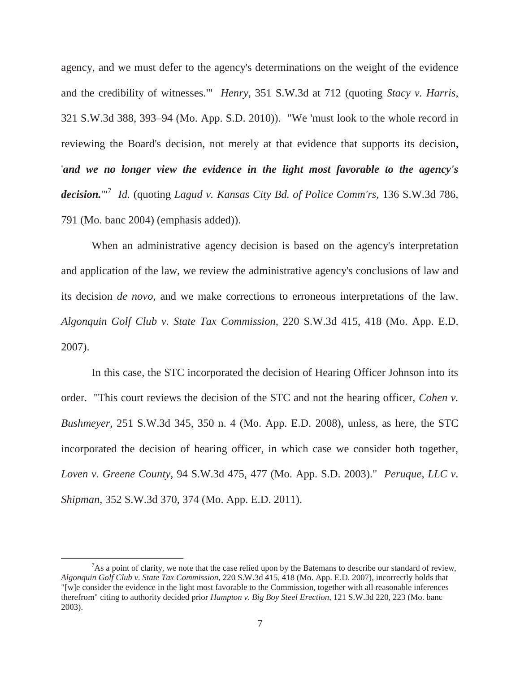agency, and we must defer to the agency's determinations on the weight of the evidence and the credibility of witnesses.'" *Henry*, 351 S.W.3d at 712 (quoting *Stacy v. Harris,* 321 S.W.3d 388, 393–94 (Mo. App. S.D. 2010)). "We 'must look to the whole record in reviewing the Board's decision, not merely at that evidence that supports its decision, '*and we no longer view the evidence in the light most favorable to the agency's decision.*'"<sup>7</sup> *Id.* (quoting *Lagud v. Kansas City Bd. of Police Comm'rs,* 136 S.W.3d 786, 791 (Mo. banc 2004) (emphasis added)).

 When an administrative agency decision is based on the agency's interpretation and application of the law, we review the administrative agency's conclusions of law and its decision *de novo,* and we make corrections to erroneous interpretations of the law. *Algonquin Golf Club v. State Tax Commission,* 220 S.W.3d 415, 418 (Mo. App. E.D. 2007).

 In this case, the STC incorporated the decision of Hearing Officer Johnson into its order. "This court reviews the decision of the STC and not the hearing officer, *Cohen v. Bushmeyer,* 251 S.W.3d 345, 350 n. 4 (Mo. App. E.D. 2008), unless, as here, the STC incorporated the decision of hearing officer, in which case we consider both together, *Loven v. Greene County,* 94 S.W.3d 475, 477 (Mo. App. S.D. 2003)." *Peruque, LLC v. Shipman*, 352 S.W.3d 370, 374 (Mo. App. E.D. 2011).

 $\frac{1}{7}$  $A<sup>7</sup>$ As a point of clarity, we note that the case relied upon by the Batemans to describe our standard of review, *Algonquin Golf Club v. State Tax Commission*, 220 S.W.3d 415, 418 (Mo. App. E.D. 2007), incorrectly holds that "[w]e consider the evidence in the light most favorable to the Commission, together with all reasonable inferences therefrom" citing to authority decided prior *Hampton v. Big Boy Steel Erection*, 121 S.W.3d 220, 223 (Mo. banc 2003).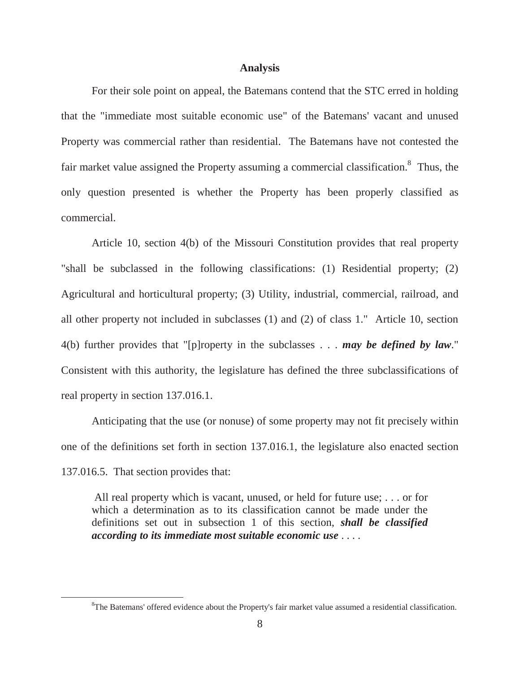#### **Analysis**

 For their sole point on appeal, the Batemans contend that the STC erred in holding that the "immediate most suitable economic use" of the Batemans' vacant and unused Property was commercial rather than residential. The Batemans have not contested the fair market value assigned the Property assuming a commercial classification.<sup>8</sup> Thus, the only question presented is whether the Property has been properly classified as commercial.

Article 10, section 4(b) of the Missouri Constitution provides that real property "shall be subclassed in the following classifications: (1) Residential property; (2) Agricultural and horticultural property; (3) Utility, industrial, commercial, railroad, and all other property not included in subclasses (1) and (2) of class 1." Article 10, section 4(b) further provides that "[p]roperty in the subclasses . . . *may be defined by law*." Consistent with this authority, the legislature has defined the three subclassifications of real property in section 137.016.1.

Anticipating that the use (or nonuse) of some property may not fit precisely within one of the definitions set forth in section 137.016.1, the legislature also enacted section 137.016.5. That section provides that:

 All real property which is vacant, unused, or held for future use; . . . or for which a determination as to its classification cannot be made under the definitions set out in subsection 1 of this section, *shall be classified according to its immediate most suitable economic use* . . . .

 $\frac{1}{8}$ <sup>8</sup>The Batemans' offered evidence about the Property's fair market value assumed a residential classification.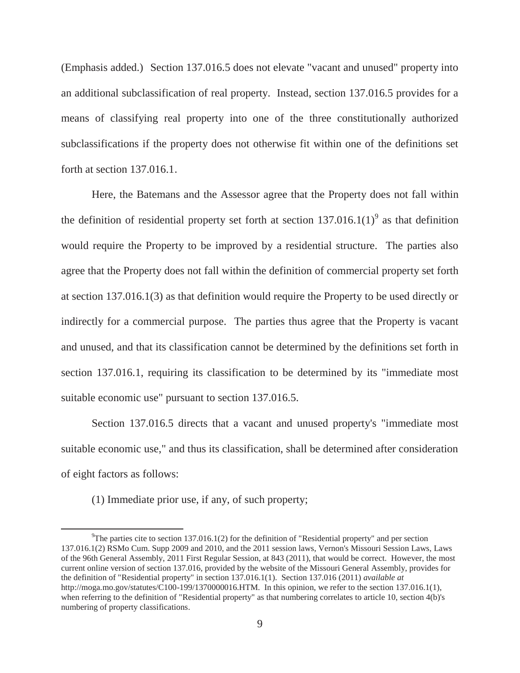(Emphasis added.) Section 137.016.5 does not elevate "vacant and unused" property into an additional subclassification of real property. Instead, section 137.016.5 provides for a means of classifying real property into one of the three constitutionally authorized subclassifications if the property does not otherwise fit within one of the definitions set forth at section 137.016.1.

 Here, the Batemans and the Assessor agree that the Property does not fall within the definition of residential property set forth at section  $137.016.1(1)^9$  as that definition would require the Property to be improved by a residential structure. The parties also agree that the Property does not fall within the definition of commercial property set forth at section 137.016.1(3) as that definition would require the Property to be used directly or indirectly for a commercial purpose. The parties thus agree that the Property is vacant and unused, and that its classification cannot be determined by the definitions set forth in section 137.016.1, requiring its classification to be determined by its "immediate most suitable economic use" pursuant to section 137.016.5.

 Section 137.016.5 directs that a vacant and unused property's "immediate most suitable economic use," and thus its classification, shall be determined after consideration of eight factors as follows:

(1) Immediate prior use, if any, of such property;

 $\frac{1}{9}$ <sup>9</sup>The parties cite to section 137.016.1(2) for the definition of "Residential property" and per section 137.016.1(2) RSMo Cum. Supp 2009 and 2010, and the 2011 session laws, Vernon's Missouri Session Laws, Laws of the 96th General Assembly, 2011 First Regular Session, at 843 (2011), that would be correct. However, the most current online version of section 137.016, provided by the website of the Missouri General Assembly, provides for the definition of "Residential property" in section 137.016.1(1). Section 137.016 (2011) *available at* http://moga.mo.gov/statutes/C100-199/1370000016.HTM. In this opinion, we refer to the section 137.016.1(1), when referring to the definition of "Residential property" as that numbering correlates to article 10, section 4(b)'s numbering of property classifications.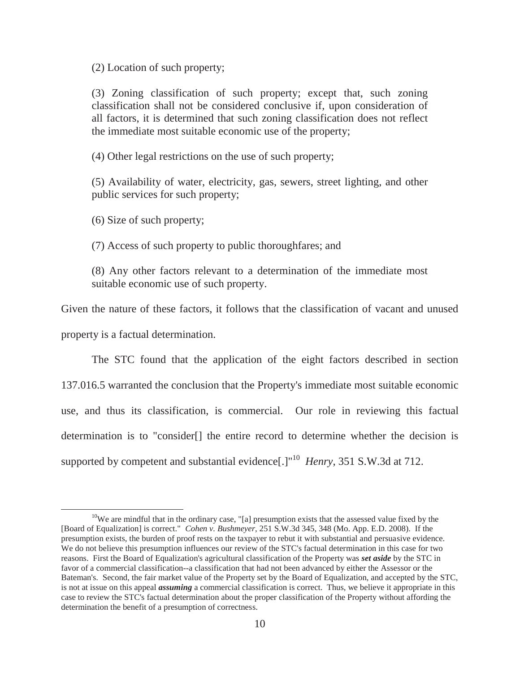(2) Location of such property;

(3) Zoning classification of such property; except that, such zoning classification shall not be considered conclusive if, upon consideration of all factors, it is determined that such zoning classification does not reflect the immediate most suitable economic use of the property;

(4) Other legal restrictions on the use of such property;

(5) Availability of water, electricity, gas, sewers, street lighting, and other public services for such property;

(6) Size of such property;

(7) Access of such property to public thoroughfares; and

(8) Any other factors relevant to a determination of the immediate most suitable economic use of such property.

Given the nature of these factors, it follows that the classification of vacant and unused property is a factual determination.

The STC found that the application of the eight factors described in section 137.016.5 warranted the conclusion that the Property's immediate most suitable economic use, and thus its classification, is commercial. Our role in reviewing this factual determination is to "consider[] the entire record to determine whether the decision is supported by competent and substantial evidence<sup>[1]</sup><sup>10</sup> *Henry*, 351 S.W.3d at 712.

 $10$ We are mindful that in the ordinary case, "[a] presumption exists that the assessed value fixed by the [Board of Equalization] is correct." *Cohen v. Bushmeyer*, 251 S.W.3d 345, 348 (Mo. App. E.D. 2008). If the presumption exists, the burden of proof rests on the taxpayer to rebut it with substantial and persuasive evidence. We do not believe this presumption influences our review of the STC's factual determination in this case for two reasons. First the Board of Equalization's agricultural classification of the Property was *set aside* by the STC in favor of a commercial classification--a classification that had not been advanced by either the Assessor or the Bateman's. Second, the fair market value of the Property set by the Board of Equalization, and accepted by the STC, is not at issue on this appeal *assuming* a commercial classification is correct. Thus, we believe it appropriate in this case to review the STC's factual determination about the proper classification of the Property without affording the determination the benefit of a presumption of correctness.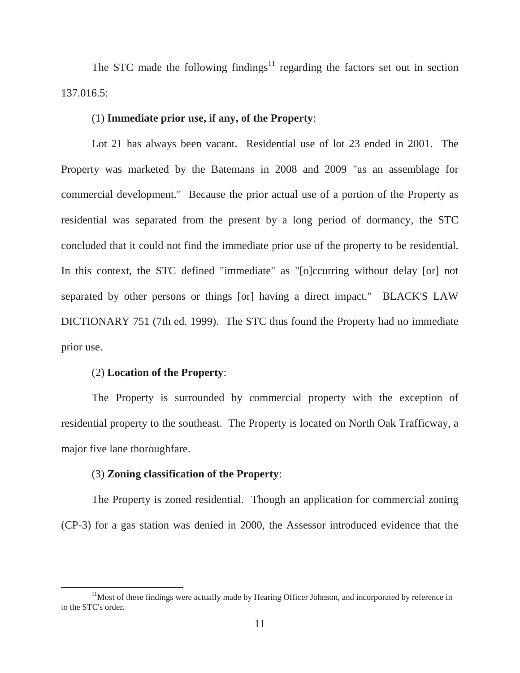The STC made the following findings<sup>11</sup> regarding the factors set out in section 137.016.5:

#### (1) **Immediate prior use, if any, of the Property**:

Lot 21 has always been vacant. Residential use of lot 23 ended in 2001. The Property was marketed by the Batemans in 2008 and 2009 "as an assemblage for commercial development." Because the prior actual use of a portion of the Property as residential was separated from the present by a long period of dormancy, the STC concluded that it could not find the immediate prior use of the property to be residential. In this context, the STC defined "immediate" as "[o]ccurring without delay [or] not separated by other persons or things [or] having a direct impact." BLACK'S LAW DICTIONARY 751 (7th ed. 1999). The STC thus found the Property had no immediate prior use.

#### (2) **Location of the Property**:

The Property is surrounded by commercial property with the exception of residential property to the southeast. The Property is located on North Oak Trafficway, a major five lane thoroughfare.

## (3) **Zoning classification of the Property**:

The Property is zoned residential. Though an application for commercial zoning (CP-3) for a gas station was denied in 2000, the Assessor introduced evidence that the

 $11$ Most of these findings were actually made by Hearing Officer Johnson, and incorporated by reference in to the STC's order.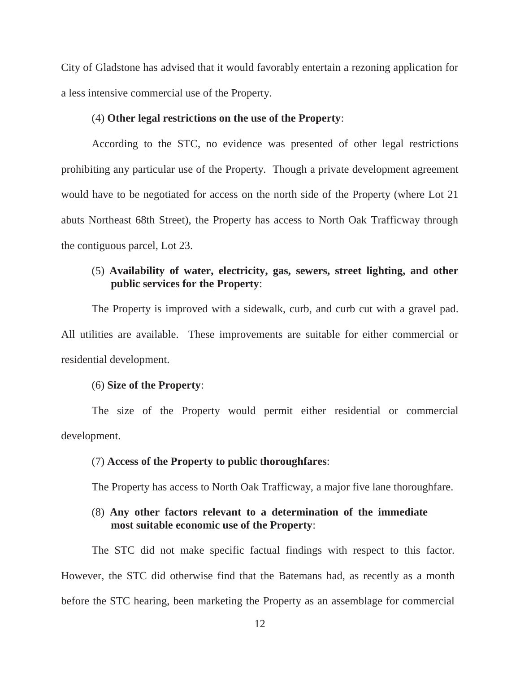City of Gladstone has advised that it would favorably entertain a rezoning application for a less intensive commercial use of the Property.

#### (4) **Other legal restrictions on the use of the Property**:

According to the STC, no evidence was presented of other legal restrictions prohibiting any particular use of the Property. Though a private development agreement would have to be negotiated for access on the north side of the Property (where Lot 21 abuts Northeast 68th Street), the Property has access to North Oak Trafficway through the contiguous parcel, Lot 23.

# (5) **Availability of water, electricity, gas, sewers, street lighting, and other public services for the Property**:

The Property is improved with a sidewalk, curb, and curb cut with a gravel pad. All utilities are available. These improvements are suitable for either commercial or residential development.

## (6) **Size of the Property**:

The size of the Property would permit either residential or commercial development.

#### (7) **Access of the Property to public thoroughfares**:

The Property has access to North Oak Trafficway, a major five lane thoroughfare.

# (8) **Any other factors relevant to a determination of the immediate most suitable economic use of the Property**:

The STC did not make specific factual findings with respect to this factor. However, the STC did otherwise find that the Batemans had, as recently as a month before the STC hearing, been marketing the Property as an assemblage for commercial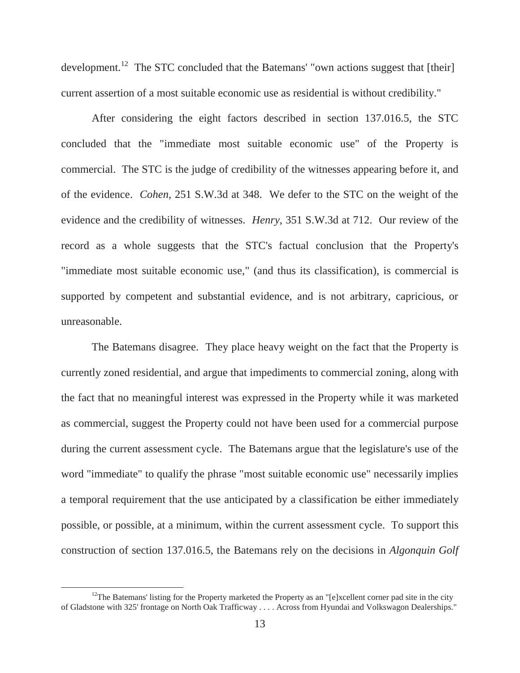development.<sup>12</sup> The STC concluded that the Batemans' "own actions suggest that [their] current assertion of a most suitable economic use as residential is without credibility."

After considering the eight factors described in section 137.016.5, the STC concluded that the "immediate most suitable economic use" of the Property is commercial. The STC is the judge of credibility of the witnesses appearing before it, and of the evidence. *Cohen*, 251 S.W.3d at 348. We defer to the STC on the weight of the evidence and the credibility of witnesses. *Henry*, 351 S.W.3d at 712. Our review of the record as a whole suggests that the STC's factual conclusion that the Property's "immediate most suitable economic use," (and thus its classification), is commercial is supported by competent and substantial evidence, and is not arbitrary, capricious, or unreasonable.

The Batemans disagree. They place heavy weight on the fact that the Property is currently zoned residential, and argue that impediments to commercial zoning, along with the fact that no meaningful interest was expressed in the Property while it was marketed as commercial, suggest the Property could not have been used for a commercial purpose during the current assessment cycle. The Batemans argue that the legislature's use of the word "immediate" to qualify the phrase "most suitable economic use" necessarily implies a temporal requirement that the use anticipated by a classification be either immediately possible, or possible, at a minimum, within the current assessment cycle. To support this construction of section 137.016.5, the Batemans rely on the decisions in *Algonquin Golf* 

<sup>&</sup>lt;sup>12</sup>The Batemans' listing for the Property marketed the Property as an "[e]xcellent corner pad site in the city of Gladstone with 325' frontage on North Oak Trafficway . . . . Across from Hyundai and Volkswagon Dealerships."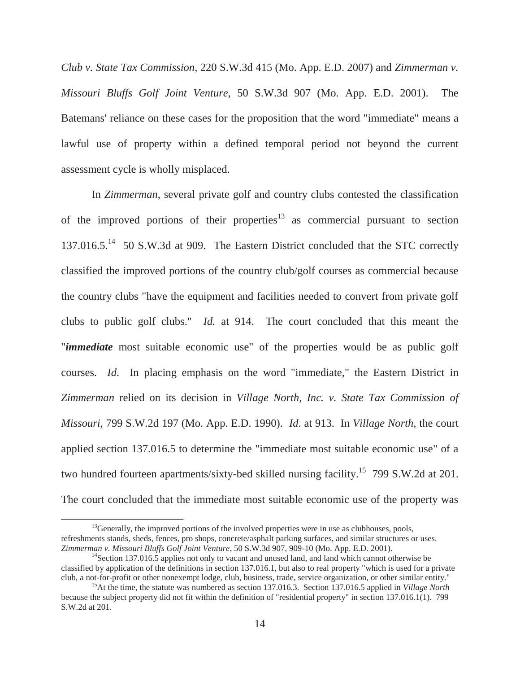*Club v. State Tax Commission*, 220 S.W.3d 415 (Mo. App. E.D. 2007) and *Zimmerman v. Missouri Bluffs Golf Joint Venture*, 50 S.W.3d 907 (Mo. App. E.D. 2001). The Batemans' reliance on these cases for the proposition that the word "immediate" means a lawful use of property within a defined temporal period not beyond the current assessment cycle is wholly misplaced.

In *Zimmerman*, several private golf and country clubs contested the classification of the improved portions of their properties<sup>13</sup> as commercial pursuant to section 137.016.5.<sup>14</sup> 50 S.W.3d at 909. The Eastern District concluded that the STC correctly classified the improved portions of the country club/golf courses as commercial because the country clubs "have the equipment and facilities needed to convert from private golf clubs to public golf clubs." *Id.* at 914. The court concluded that this meant the "*immediate* most suitable economic use" of the properties would be as public golf courses. *Id*. In placing emphasis on the word "immediate," the Eastern District in *Zimmerman* relied on its decision in *Village North, Inc. v. State Tax Commission of Missouri*, 799 S.W.2d 197 (Mo. App. E.D. 1990). *Id*. at 913. In *Village North*, the court applied section 137.016.5 to determine the "immediate most suitable economic use" of a two hundred fourteen apartments/sixty-bed skilled nursing facility.<sup>15</sup> 799 S.W.2d at 201. The court concluded that the immediate most suitable economic use of the property was

 $13$ Generally, the improved portions of the involved properties were in use as clubhouses, pools, refreshments stands, sheds, fences, pro shops, concrete/asphalt parking surfaces, and similar structures or uses.<br>Zimmerman v. Missouri Bluffs Golf Joint Venture, 50 S.W.3d 907, 909-10 (Mo. App. E.D. 2001).

<sup>&</sup>lt;sup>14</sup>Section 137.016.5 applies not only to vacant and unused land, and land which cannot otherwise be classified by application of the definitions in section 137.016.1, but also to real property "which is used for a private club, a not-for-profit or other nonexempt lodge, club, business, trade, service organization, or oth

<sup>&</sup>lt;sup>15</sup>At the time, the statute was numbered as section 137.016.3. Section 137.016.5 applied in *Village North* because the subject property did not fit within the definition of "residential property" in section 137.016.1(1). 799 S.W.2d at 201.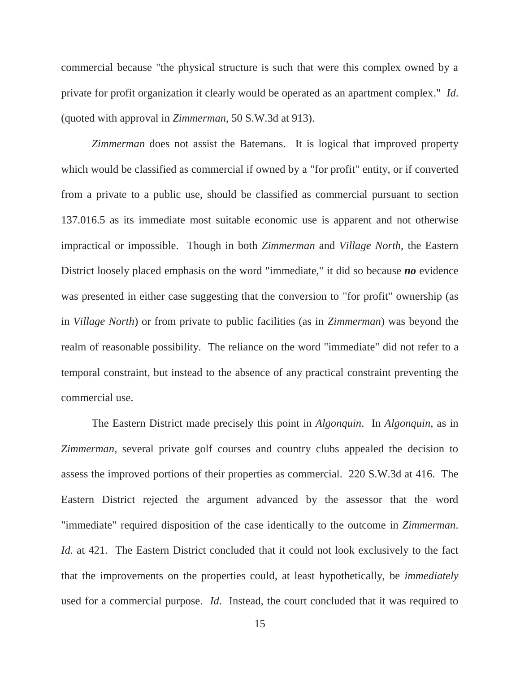commercial because "the physical structure is such that were this complex owned by a private for profit organization it clearly would be operated as an apartment complex." *Id*. (quoted with approval in *Zimmerman*, 50 S.W.3d at 913).

*Zimmerman* does not assist the Batemans. It is logical that improved property which would be classified as commercial if owned by a "for profit" entity, or if converted from a private to a public use, should be classified as commercial pursuant to section 137.016.5 as its immediate most suitable economic use is apparent and not otherwise impractical or impossible. Though in both *Zimmerman* and *Village North*, the Eastern District loosely placed emphasis on the word "immediate," it did so because *no* evidence was presented in either case suggesting that the conversion to "for profit" ownership (as in *Village North*) or from private to public facilities (as in *Zimmerman*) was beyond the realm of reasonable possibility. The reliance on the word "immediate" did not refer to a temporal constraint, but instead to the absence of any practical constraint preventing the commercial use.

The Eastern District made precisely this point in *Algonquin*. In *Algonquin*, as in *Zimmerman*, several private golf courses and country clubs appealed the decision to assess the improved portions of their properties as commercial. 220 S.W.3d at 416. The Eastern District rejected the argument advanced by the assessor that the word "immediate" required disposition of the case identically to the outcome in *Zimmerman*. *Id.* at 421. The Eastern District concluded that it could not look exclusively to the fact that the improvements on the properties could, at least hypothetically, be *immediately* used for a commercial purpose. *Id*. Instead, the court concluded that it was required to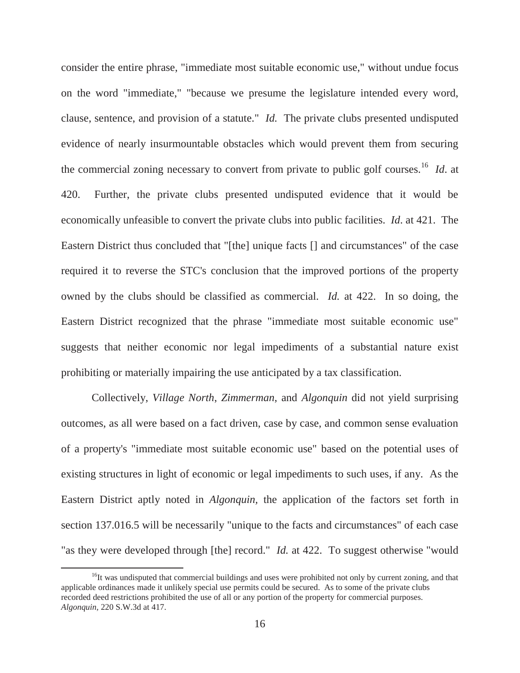consider the entire phrase, "immediate most suitable economic use," without undue focus on the word "immediate," "because we presume the legislature intended every word, clause, sentence, and provision of a statute." *Id.* The private clubs presented undisputed evidence of nearly insurmountable obstacles which would prevent them from securing the commercial zoning necessary to convert from private to public golf courses.16 *Id*. at 420. Further, the private clubs presented undisputed evidence that it would be economically unfeasible to convert the private clubs into public facilities. *Id*. at 421. The Eastern District thus concluded that "[the] unique facts [] and circumstances" of the case required it to reverse the STC's conclusion that the improved portions of the property owned by the clubs should be classified as commercial. *Id.* at 422. In so doing, the Eastern District recognized that the phrase "immediate most suitable economic use" suggests that neither economic nor legal impediments of a substantial nature exist prohibiting or materially impairing the use anticipated by a tax classification.

Collectively, *Village North*, *Zimmerman*, and *Algonquin* did not yield surprising outcomes, as all were based on a fact driven, case by case, and common sense evaluation of a property's "immediate most suitable economic use" based on the potential uses of existing structures in light of economic or legal impediments to such uses, if any. As the Eastern District aptly noted in *Algonquin,* the application of the factors set forth in section 137.016.5 will be necessarily "unique to the facts and circumstances" of each case "as they were developed through [the] record." *Id.* at 422. To suggest otherwise "would

<sup>&</sup>lt;sup>16</sup>It was undisputed that commercial buildings and uses were prohibited not only by current zoning, and that applicable ordinances made it unlikely special use permits could be secured. As to some of the private clubs recorded deed restrictions prohibited the use of all or any portion of the property for commercial purposes. *Algonquin,* 220 S.W.3d at 417.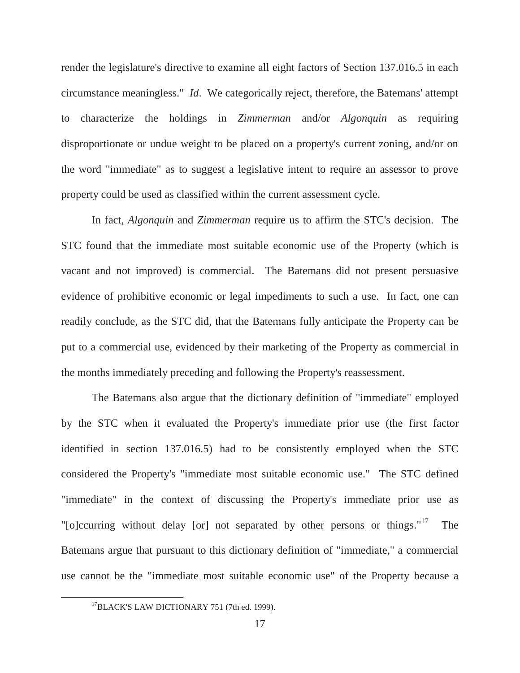render the legislature's directive to examine all eight factors of Section 137.016.5 in each circumstance meaningless." *Id*. We categorically reject, therefore, the Batemans' attempt to characterize the holdings in *Zimmerman* and/or *Algonquin* as requiring disproportionate or undue weight to be placed on a property's current zoning, and/or on the word "immediate" as to suggest a legislative intent to require an assessor to prove property could be used as classified within the current assessment cycle.

In fact, *Algonquin* and *Zimmerman* require us to affirm the STC's decision. The STC found that the immediate most suitable economic use of the Property (which is vacant and not improved) is commercial. The Batemans did not present persuasive evidence of prohibitive economic or legal impediments to such a use. In fact, one can readily conclude, as the STC did, that the Batemans fully anticipate the Property can be put to a commercial use, evidenced by their marketing of the Property as commercial in the months immediately preceding and following the Property's reassessment.

The Batemans also argue that the dictionary definition of "immediate" employed by the STC when it evaluated the Property's immediate prior use (the first factor identified in section 137.016.5) had to be consistently employed when the STC considered the Property's "immediate most suitable economic use." The STC defined "immediate" in the context of discussing the Property's immediate prior use as "[o]ccurring without delay [or] not separated by other persons or things." $17$  The Batemans argue that pursuant to this dictionary definition of "immediate," a commercial use cannot be the "immediate most suitable economic use" of the Property because a

<sup>&</sup>lt;sup>17</sup>BLACK'S LAW DICTIONARY 751 (7th ed. 1999).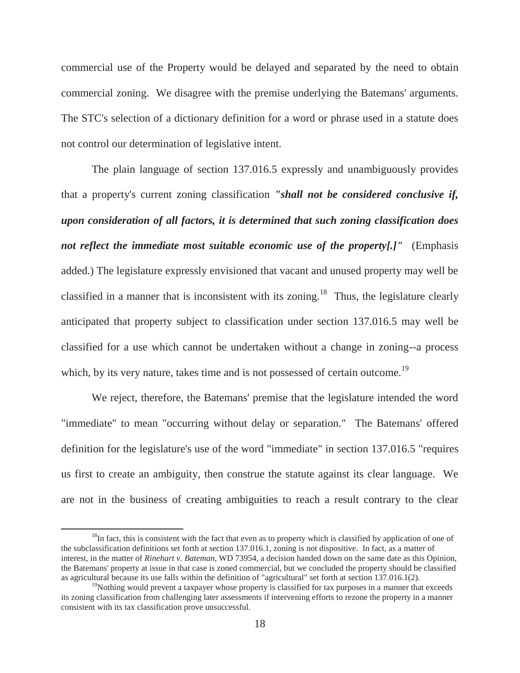commercial use of the Property would be delayed and separated by the need to obtain commercial zoning. We disagree with the premise underlying the Batemans' arguments. The STC's selection of a dictionary definition for a word or phrase used in a statute does not control our determination of legislative intent.

The plain language of section 137.016.5 expressly and unambiguously provides that a property's current zoning classification *"shall not be considered conclusive if, upon consideration of all factors, it is determined that such zoning classification does not reflect the immediate most suitable economic use of the property[.]"* (Emphasis added.) The legislature expressly envisioned that vacant and unused property may well be classified in a manner that is inconsistent with its zoning.<sup>18</sup> Thus, the legislature clearly anticipated that property subject to classification under section 137.016.5 may well be classified for a use which cannot be undertaken without a change in zoning--a process which, by its very nature, takes time and is not possessed of certain outcome.<sup>19</sup>

We reject, therefore, the Batemans' premise that the legislature intended the word "immediate" to mean "occurring without delay or separation." The Batemans' offered definition for the legislature's use of the word "immediate" in section 137.016.5 "requires us first to create an ambiguity, then construe the statute against its clear language. We are not in the business of creating ambiguities to reach a result contrary to the clear

 $18$ In fact, this is consistent with the fact that even as to property which is classified by application of one of the subclassification definitions set forth at section 137.016.1, zoning is not dispositive. In fact, as a matter of interest, in the matter of *Rinehart v. Bateman*, WD 73954, a decision handed down on the same date as this Opinion, the Batemans' property at issue in that case is zoned commercial, but we concluded the property should be classified as agricultural because its use falls within the definition of "agricultural" set forth at section 137.016.1(2).

<sup>&</sup>lt;sup>19</sup>Nothing would prevent a taxpayer whose property is classified for tax purposes in a manner that exceeds its zoning classification from challenging later assessments if intervening efforts to rezone the property in a manner consistent with its tax classification prove unsuccessful.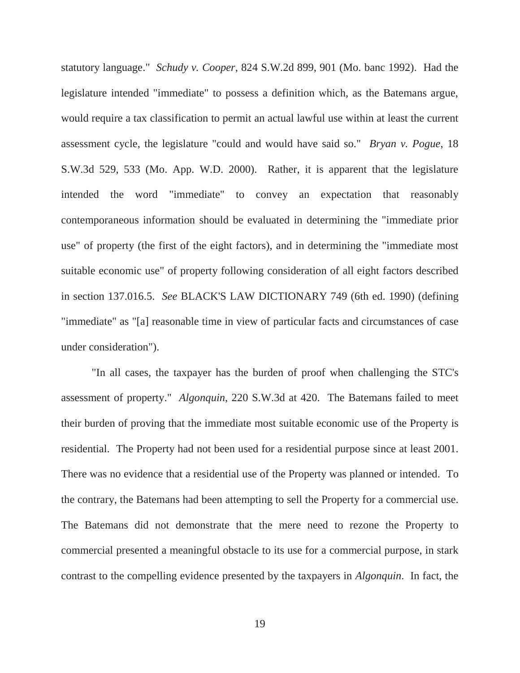statutory language." *Schudy v. Cooper*, 824 S.W.2d 899, 901 (Mo. banc 1992). Had the legislature intended "immediate" to possess a definition which, as the Batemans argue, would require a tax classification to permit an actual lawful use within at least the current assessment cycle, the legislature "could and would have said so." *Bryan v. Pogue*, 18 S.W.3d 529, 533 (Mo. App. W.D. 2000). Rather, it is apparent that the legislature intended the word "immediate" to convey an expectation that reasonably contemporaneous information should be evaluated in determining the "immediate prior use" of property (the first of the eight factors), and in determining the "immediate most suitable economic use" of property following consideration of all eight factors described in section 137.016.5. *See* BLACK'S LAW DICTIONARY 749 (6th ed. 1990) (defining "immediate" as "[a] reasonable time in view of particular facts and circumstances of case under consideration").

 "In all cases, the taxpayer has the burden of proof when challenging the STC's assessment of property." *Algonquin*, 220 S.W.3d at 420. The Batemans failed to meet their burden of proving that the immediate most suitable economic use of the Property is residential. The Property had not been used for a residential purpose since at least 2001. There was no evidence that a residential use of the Property was planned or intended. To the contrary, the Batemans had been attempting to sell the Property for a commercial use. The Batemans did not demonstrate that the mere need to rezone the Property to commercial presented a meaningful obstacle to its use for a commercial purpose, in stark contrast to the compelling evidence presented by the taxpayers in *Algonquin*. In fact, the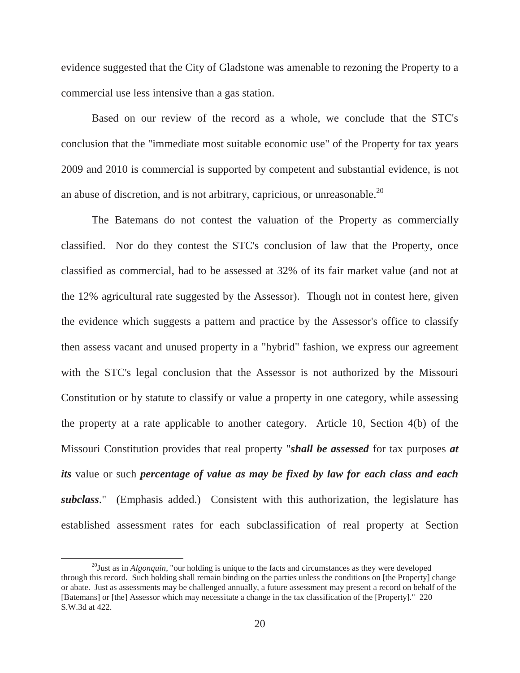evidence suggested that the City of Gladstone was amenable to rezoning the Property to a commercial use less intensive than a gas station.

Based on our review of the record as a whole, we conclude that the STC's conclusion that the "immediate most suitable economic use" of the Property for tax years 2009 and 2010 is commercial is supported by competent and substantial evidence, is not an abuse of discretion, and is not arbitrary, capricious, or unreasonable.<sup>20</sup>

 The Batemans do not contest the valuation of the Property as commercially classified. Nor do they contest the STC's conclusion of law that the Property, once classified as commercial, had to be assessed at 32% of its fair market value (and not at the 12% agricultural rate suggested by the Assessor). Though not in contest here, given the evidence which suggests a pattern and practice by the Assessor's office to classify then assess vacant and unused property in a "hybrid" fashion, we express our agreement with the STC's legal conclusion that the Assessor is not authorized by the Missouri Constitution or by statute to classify or value a property in one category, while assessing the property at a rate applicable to another category. Article 10, Section 4(b) of the Missouri Constitution provides that real property "*shall be assessed* for tax purposes *at its* value or such *percentage of value as may be fixed by law for each class and each subclass*." (Emphasis added.) Consistent with this authorization, the legislature has established assessment rates for each subclassification of real property at Section

20Just as in *Algonquin*, "our holding is unique to the facts and circumstances as they were developed through this record. Such holding shall remain binding on the parties unless the conditions on [the Property] change or abate. Just as assessments may be challenged annually, a future assessment may present a record on behalf of the [Batemans] or [the] Assessor which may necessitate a change in the tax classification of the [Property]." 220 S.W.3d at 422.